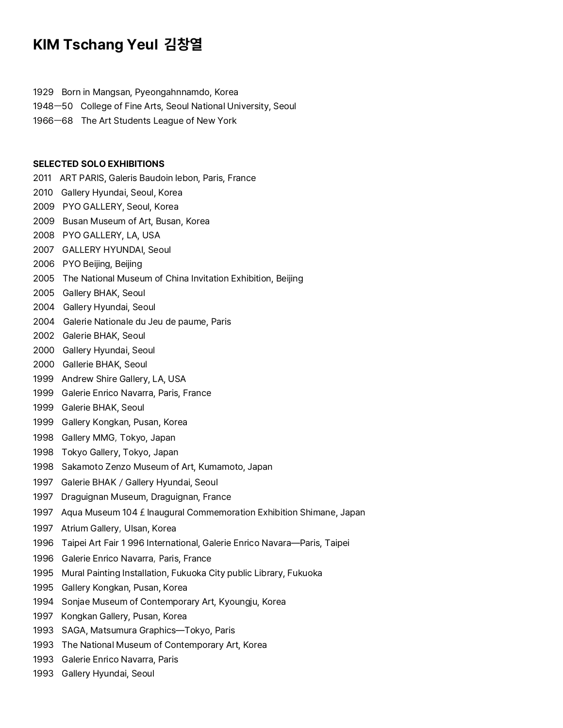## **KIM Tschang Yeul 김창열**

1929 Born in Mangsan, Pyeongahnnamdo, Korea

1948ㅡ50 College of Fine Arts, Seoul National University, Seoul

1966ㅡ68 The Art Students League of New York

## **SELECTED SOLO EXHIBITlONS**

2011 ART PARIS, Galeris Baudoin lebon, Paris, France

- 2010 Gallery Hyundai, Seoul, Korea
- 2009 PYO GALLERY, Seoul, Korea
- 2009 Busan Museum of Art, Busan, Korea
- 2008 PYO GALLERY, LA, USA
- 2007 GALLERY HYUNDAI, Seoul
- 2006 PYO Beijing, Beijing
- 2005 The National Museum of China Invitation Exhibition, Beijing
- 2005 Gallery BHAK, Seoul
- 2004 Gallery Hyundai, Seoul
- 2004 Galerie Nationale du Jeu de paume, Paris
- 2002 Galerie BHAK, Seoul
- 2000 Gallery Hyundai, Seoul
- 2000 Gallerie BHAK, Seoul
- 1999 Andrew Shire Gallery, LA, USA
- 1999 Galerie Enrico Navarra, Paris, France
- 1999 Galerie BHAK, Seoul
- 1999 Gallery Kongkan, Pusan, Korea
- 1998 Gallery MMG, Tokyo, Japan
- 1998 Tokyo Gallery, Tokyo, Japan
- 1998 Sakamoto Zenzo Museum of Art, Kumamoto, Japan
- 1997 Galerie BHAK/Gallery Hyundai, Seoul
- 1997 Draguignan Museum, Draguignan, France
- 1997 Aqua Museum 104 £ Inaugural Commemoration Exhibition Shimane, Japan
- 1997 Atrium Gallery, Ulsan, Korea
- 1996 Taipei Art Fair 1 996 International, Galerie Enrico Navara—Paris, Taipei
- 1996 Galerie Enrico Navarra, Paris, France
- 1995 Mural Painting Installation, Fukuoka City public Library, Fukuoka
- 1995 Gallery Kongkan, Pusan, Korea
- 1994 Sonjae Museum of Contemporary Art, Kyoungju, Korea
- 1997 Kongkan Gallery, Pusan, Korea
- 1993 SAGA, Matsumura Graphics—Tokyo, Paris
- 1993 The National Museum of Contemporary Art, Korea
- 1993 Galerie Enrico Navarra, Paris
- 1993 Gallery Hyundai, Seoul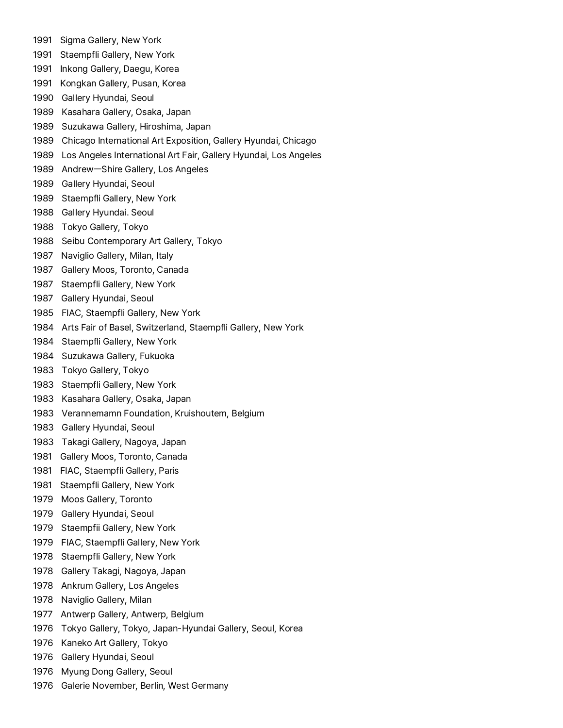- 1991 Sigma Gallery, New York
- 1991 Staempfli Gallery, New York
- 1991 Inkong Gallery, Daegu, Korea
- 1991 Kongkan GaIlery, Pusan, Korea
- 1990 Gallery Hyundai, Seoul
- 1989 Kasahara Gallery, Osaka, Japan
- 1989 Suzukawa GaIlery, Hiroshima, Japan
- 1989 Chicago International Art Exposition, Gallery Hyundai, Chicago
- 1989 Los Angeles International Art Fair, Gallery Hyundai, Los Angeles
- 1989 AndrewㅡShire Gallery, Los Angeles
- 1989 Gallery Hyundai, Seoul
- 1989 Staempfli Gallery, New York
- 1988 Gallery Hyundai. Seoul
- 1988 Tokyo Gallery, Tokyo
- 1988 Seibu Contemporary Art Gallery, Tokyo
- 1987 Naviglio Gallery, Milan, Italy
- 1987 Gallery Moos, Toronto, Canada
- 1987 Staempfli Gallery, New York
- 1987 Gallery Hyundai, SeouI
- 1985 FIAC, Staempfli Gallery, New York
- 1984 Arts Fair of Basel, Switzerland, Staempfli Gallery, New York
- 1984 Staempfli Gallery, New York
- 1984 Suzukawa Gallery, Fukuoka
- 1983 Tokyo Gallery, Tokyo
- 1983 Staempfli Gallery, New York
- 1983 Kasahara Gallery, Osaka, Japan
- 1983 Verannemamn Foundation, Kruishoutem, Belgium
- 1983 Gallery Hyundai, Seoul
- 1983 Takagi Gallery, Nagoya, Japan
- 1981 Gallery Moos, Toronto, Canada
- 1981 FIAC, Staempfli Gallery, Paris
- 1981 Staempfli Gallery, New York
- 1979 Moos Gallery, Toronto
- 1979 Gallery Hyundai, Seoul
- 1979 Staempfii Gallery, New York
- 1979 FIAC, Staempfli Gallery, New York
- 1978 Staempfli Gallery, New York
- 1978 Gallery Takagi, Nagoya, Japan
- 1978 Ankrum Gallery, Los Angeles
- 1978 Naviglio Gallery, Milan
- 1977 Antwerp Gallery, Antwerp, Belgium
- 1976 Tokyo Gallery, Tokyo, Japan-Hyundai Gallery, Seoul, Korea
- 1976 Kaneko Art Gallery, Tokyo
- 1976 Gallery Hyundai, Seoul
- 1976 Myung Dong Gallery, Seoul
- 1976 Galerie November, Berlin, West Germany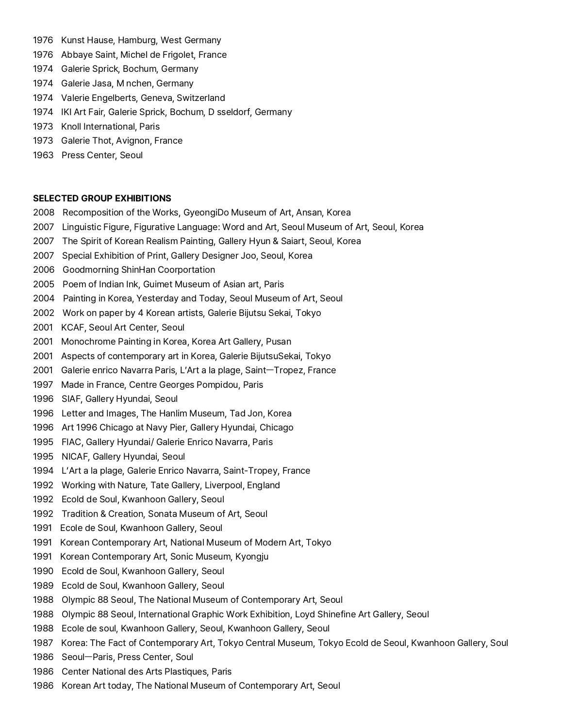- 1976 Kunst Hause, Hamburg, West Germany
- 1976 Abbaye Saint, Michel de Frigolet, France
- 1974 Galerie Sprick, Bochum, Germany
- 1974 Galerie Jasa, M nchen, Germany
- 1974 Valerie Engelberts, Geneva, Switzerland
- 1974 IKI Art Fair, Galerie Sprick, Bochum, D sseldorf, Germany
- 1973 Knoll International, Paris
- 1973 Galerie Thot, Avignon, France
- 1963 Press Center, Seoul

## **SELECTED GROUP EXHIBITIONS**

- 2008 Recomposition of the Works, GyeongiDo Museum of Art, Ansan, Korea
- 2007 Linguistic Figure, Figurative Language: Word and Art, Seoul Museum of Art, Seoul, Korea
- 2007 The Spirit of Korean Realism Painting, Gallery Hyun & Saiart, Seoul, Korea
- 2007 Special Exhibition of Print, Gallery Designer Joo, Seoul, Korea
- 
- 2006 Goodmorning ShinHan Coorportation 2005 Poem of Indian Ink, Guimet Museum of Asian art, Paris
- 2004 Painting in Korea, Yesterday and Today, Seoul Museum of Art, Seoul
- 2002 Work on paper by 4 Korean artists, Galerie Bijutsu Sekai, Tokyo
- 2001 KCAF, Seoul Art Center, Seoul
- 2001 Monochrome Painting in Korea, Korea Art Gallery, Pusan
- 2001 Aspects of contemporary art in Korea, Galerie BijutsuSekai, Tokyo
- 2001 Galerie enrico Navarra Paris, L'Art a la plage, Saint-Tropez, France
- 1997 Made in France, Centre Georges Pompidou, Paris
- 1996 SIAF, Gallery Hyundai, Seoul
- 1996 Letter and Images, The Hanlim Museum, Tad Jon, Korea
- 1996 Art 1996 Chicago at Navy Pier, Gallery Hyundai, Chicago
- 1995 FIAC, Gallery Hyundai/ Galerie Enrico Navarra, Paris
- 1995 NICAF, Gallery Hyundai, Seoul
- 1994 L'Art a la plage, Galerie Enrico Navarra, Saint-Tropey, France
- 1992 Working with Nature, Tate Gallery, Liverpool, England
- 1992 Ecold de Soul, Kwanhoon Gallery, Seoul
- 1992 Tradition & Creation, Sonata Museum of Art, Seoul
- 1991 Ecole de Soul, Kwanhoon Gallery, Seoul
- 1991 Korean Contemporary Art, National Museum of Modern Art, Tokyo
- 1991 Korean Contemporary Art, Sonic Museum, Kyongju
- 1990 Ecold de Soul, Kwanhoon Gallery, Seoul
- 1989 Ecold de Soul, Kwanhoon Gallery, Seoul
- 1988 Olympic 88 Seoul, The National Museum of Contemporary Art, Seoul
- 1988 Olympic 88 Seoul, International Graphic Work Exhibition, Loyd Shinefine Art Gallery, Seoul
- 1988 Ecole de soul, Kwanhoon Gallery, Seoul, Kwanhoon Gallery, Seoul
- 1987 Korea: The Fact of Contemporary Art, Tokyo Central Museum, Tokyo Ecold de Seoul, Kwanhoon Gallery, Soul<br>1986 SeoulㅡParis, Press Center, Soul
- 
- 1986 Center National des Arts Plastiques, Paris
- 1986 Korean Art today, The National Museum of Contemporary Art, Seoul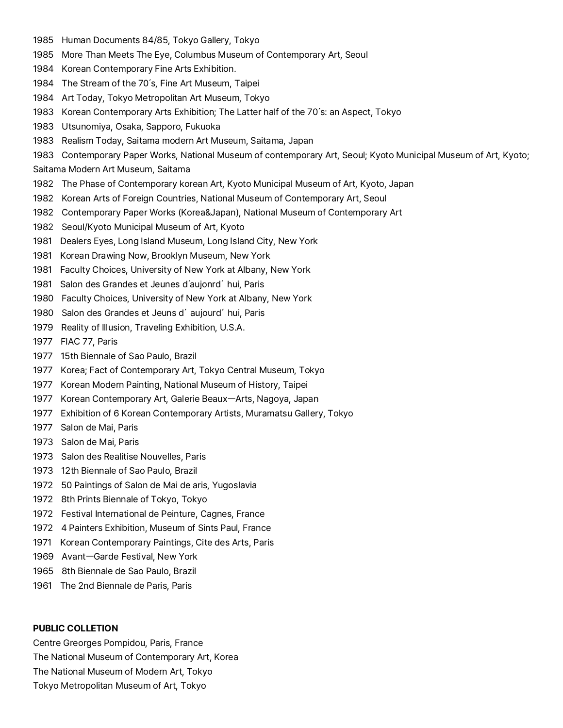- 1985 Human Documents 84/85, Tokyo Gallery, Tokyo
- 1985 More Than Meets The Eye, Columbus Museum of Contemporary Art, Seoul
- 1984 Korean Contemporary Fine Arts Exhibition.
- 1984 The Stream of the 70's, Fine Art Museum, Taipei
- 1984 Art Today, Tokyo Metropolitan Art Museum, Tokyo
- 1983 Korean Contemporary Arts Exhibition; The Latter half of the 70's: an Aspect, Tokyo
- 
- 1983 Utsunomiya, Osaka, Sapporo, Fukuoka<br>1983 Realism Today, Saitama modern Art Museum, Saitama, Japan
- 1983 Contemporary Paper Works, National Museum of contemporary Art, Seoul; Kyoto Municipal Museum of Art, Kyoto;<br>Saitama Modern Art Museum, Saitama
- 
- 1982 The Phase of Contemporary korean Art, Kyoto Municipal Museum of Art, Kyoto, Japan
- 1982 Korean Arts of Foreign Countries, National Museum of Contemporary Art, Seoul
- 1982 Contemporary Paper Works (Korea&Japan), National Museum of Contemporary Art
- 1982 Seoul/Kyoto Municipal Museum of Art, Kyoto
- 1981 Dealers Eyes, Long Island Museum, Long Island City, New York
- 1981 Korean Drawing Now, Brooklyn Museum, New York
- 1981 Faculty Choices, University of New York at Albany, New York
- 1981 Salon des Grandes et Jeunes d'aujonrd'hui, Paris
- 1980 Faculty Choices, University of New York at Albany, New York
- 1980 Salon des Grandes et Jeuns d'aujourd'hui, Paris
- 1979 Reality of Illusion, Traveling Exhibition, U.S.A.
- 1977 FIAC 77, Paris
- 1977 15th Biennale of Sao Paulo, Brazil
- 1977 Korea; Fact of Contemporary Art, Tokyo Central Museum, Tokyo
- 1977 Korean Modern Painting, National Museum of History, Taipei
- 1977 Korean Contemporary Art, Galerie BeauxㅡArts, Nagoya, Japan
- 1977 Exhibition of 6 Korean Contemporary Artists, Muramatsu Gallery, Tokyo
- 1977 Salon de Mai, Paris
- 1973 Salon de Mai, Paris
- 1973 Salon des Realitise Nouvelles, Paris
- 1973 12th Biennale of Sao Paulo, Brazil
- 1972 50 Paintings of Salon de Mai de aris, Yugoslavia
- 1972 8th Prints Biennale of Tokyo, Tokyo
- 1972 Festival International de Peinture, Cagnes, France
- 1972 4 Painters Exhibition, Museum of Sints Paul, France
- 1971 Korean Contemporary Paintings, Cite des Arts, Paris
- 1969 AvantㅡGarde Festival, New York
- 1965 8th Biennale de Sao Paulo, Brazil
- 1961 The 2nd Biennale de Paris, Paris

## **PUBLIC COLLETION**

Centre Greorges Pompidou, Paris, France The National Museum of Contemporary Art, Korea The National Museum of Modern Art, Tokyo Tokyo Metropolitan Museum of Art, Tokyo